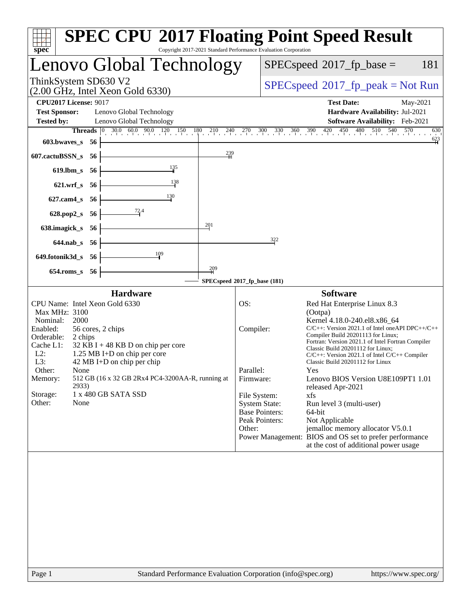| $spec^*$                                                                                                                                                                                                                                                                                                                                                                                                                 | <b>SPEC CPU®2017 Floating Point Speed Result</b><br>Copyright 2017-2021 Standard Performance Evaluation Corporation                                                                                                                                                                                                                                                                                                                                                                                                                                                                                                                                                                                                                                                           |
|--------------------------------------------------------------------------------------------------------------------------------------------------------------------------------------------------------------------------------------------------------------------------------------------------------------------------------------------------------------------------------------------------------------------------|-------------------------------------------------------------------------------------------------------------------------------------------------------------------------------------------------------------------------------------------------------------------------------------------------------------------------------------------------------------------------------------------------------------------------------------------------------------------------------------------------------------------------------------------------------------------------------------------------------------------------------------------------------------------------------------------------------------------------------------------------------------------------------|
| Lenovo Global Technology                                                                                                                                                                                                                                                                                                                                                                                                 | $SPEC speed^{\circ}2017$ _fp_base =<br>181                                                                                                                                                                                                                                                                                                                                                                                                                                                                                                                                                                                                                                                                                                                                    |
| ThinkSystem SD630 V2<br>$(2.00 \text{ GHz}, \text{Intel Xeon Gold } 6330)$                                                                                                                                                                                                                                                                                                                                               | $SPEC speed^{\circ}2017\_fp\_peak = Not Run$                                                                                                                                                                                                                                                                                                                                                                                                                                                                                                                                                                                                                                                                                                                                  |
| <b>CPU2017 License: 9017</b><br><b>Test Sponsor:</b><br>Lenovo Global Technology<br><b>Tested by:</b><br>Lenovo Global Technology                                                                                                                                                                                                                                                                                        | <b>Test Date:</b><br>May-2021<br>Hardware Availability: Jul-2021<br>Software Availability: Feb-2021                                                                                                                                                                                                                                                                                                                                                                                                                                                                                                                                                                                                                                                                           |
| <b>Threads</b> $\begin{bmatrix} 0 & 30.0 & 60.0 & 90.0 & 120 & 150 & 180 & 210 & 240 & 270 & 300 & 330 & 360 & 390 & 420 & 450 \end{bmatrix}$<br>603.bwaves_s 56                                                                                                                                                                                                                                                         | $\frac{480}{1}$ 510<br>540<br>570<br>630<br>$\frac{623}{4}$                                                                                                                                                                                                                                                                                                                                                                                                                                                                                                                                                                                                                                                                                                                   |
| 239<br>607.cactuBSSN_s<br>-56                                                                                                                                                                                                                                                                                                                                                                                            |                                                                                                                                                                                                                                                                                                                                                                                                                                                                                                                                                                                                                                                                                                                                                                               |
| $\frac{135}{4}$<br>619.lbm_s 56                                                                                                                                                                                                                                                                                                                                                                                          |                                                                                                                                                                                                                                                                                                                                                                                                                                                                                                                                                                                                                                                                                                                                                                               |
| 138<br>$621.wrf$ <sub>S</sub><br>- 56                                                                                                                                                                                                                                                                                                                                                                                    |                                                                                                                                                                                                                                                                                                                                                                                                                                                                                                                                                                                                                                                                                                                                                                               |
| 130<br>$627$ .cam $4_s$<br>- 56                                                                                                                                                                                                                                                                                                                                                                                          |                                                                                                                                                                                                                                                                                                                                                                                                                                                                                                                                                                                                                                                                                                                                                                               |
| $\frac{72.4}{ }$<br>628.pop2_s<br>- 56                                                                                                                                                                                                                                                                                                                                                                                   |                                                                                                                                                                                                                                                                                                                                                                                                                                                                                                                                                                                                                                                                                                                                                                               |
| 201<br>638.imagick_s<br>-56                                                                                                                                                                                                                                                                                                                                                                                              |                                                                                                                                                                                                                                                                                                                                                                                                                                                                                                                                                                                                                                                                                                                                                                               |
| 644.nab_s 56                                                                                                                                                                                                                                                                                                                                                                                                             | 322                                                                                                                                                                                                                                                                                                                                                                                                                                                                                                                                                                                                                                                                                                                                                                           |
| 109<br>649.fotonik3d_s 56                                                                                                                                                                                                                                                                                                                                                                                                |                                                                                                                                                                                                                                                                                                                                                                                                                                                                                                                                                                                                                                                                                                                                                                               |
| $\frac{209}{4}$<br>654.roms_s 56                                                                                                                                                                                                                                                                                                                                                                                         | SPECspeed®2017_fp_base (181)                                                                                                                                                                                                                                                                                                                                                                                                                                                                                                                                                                                                                                                                                                                                                  |
| <b>Hardware</b>                                                                                                                                                                                                                                                                                                                                                                                                          | <b>Software</b>                                                                                                                                                                                                                                                                                                                                                                                                                                                                                                                                                                                                                                                                                                                                                               |
| CPU Name: Intel Xeon Gold 6330<br>Max MHz: 3100<br>Nominal:<br>2000<br>Enabled:<br>56 cores, 2 chips<br>Orderable:<br>2 chips<br>Cache L1:<br>32 KB I + 48 KB D on chip per core<br>$L2$ :<br>1.25 MB I+D on chip per core<br>L3:<br>$42 \text{ MB I+D}$ on chip per chip<br>Other:<br>None<br>512 GB (16 x 32 GB 2Rx4 PC4-3200AA-R, running at<br>Memory:<br>2933)<br>1 x 480 GB SATA SSD<br>Storage:<br>Other:<br>None | OS:<br>Red Hat Enterprise Linux 8.3<br>(Ootpa)<br>Kernel 4.18.0-240.el8.x86_64<br>$C/C++$ : Version 2021.1 of Intel one API DPC++/C++<br>Compiler:<br>Compiler Build 20201113 for Linux;<br>Fortran: Version 2021.1 of Intel Fortran Compiler<br>Classic Build 20201112 for Linux;<br>$C/C++$ : Version 2021.1 of Intel $C/C++$ Compiler<br>Classic Build 20201112 for Linux<br>Parallel:<br>Yes.<br>Firmware:<br>Lenovo BIOS Version U8E109PT1 1.01<br>released Apr-2021<br>File System:<br>xfs<br><b>System State:</b><br>Run level 3 (multi-user)<br><b>Base Pointers:</b><br>64-bit<br>Peak Pointers:<br>Not Applicable<br>jemalloc memory allocator V5.0.1<br>Other:<br>Power Management: BIOS and OS set to prefer performance<br>at the cost of additional power usage |
|                                                                                                                                                                                                                                                                                                                                                                                                                          |                                                                                                                                                                                                                                                                                                                                                                                                                                                                                                                                                                                                                                                                                                                                                                               |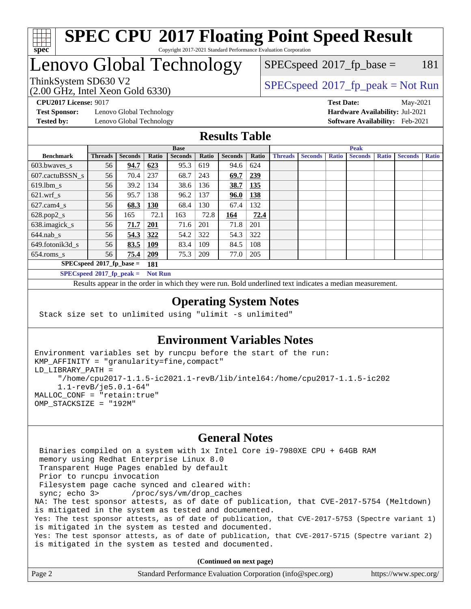

#### **[SPEC CPU](http://www.spec.org/auto/cpu2017/Docs/result-fields.html#SPECCPU2017FloatingPointSpeedResult)[2017 Floating Point Speed Result](http://www.spec.org/auto/cpu2017/Docs/result-fields.html#SPECCPU2017FloatingPointSpeedResult)** Copyright 2017-2021 Standard Performance Evaluation Corporation

# Lenovo Global Technology

 $SPECspeed^{\circledcirc}2017_fp\_base = 181$  $SPECspeed^{\circledcirc}2017_fp\_base = 181$ 

(2.00 GHz, Intel Xeon Gold 6330)

ThinkSystem SD630 V2<br>  $\begin{array}{c} \text{SPEC speed} \text{?}2017 \text{ fp\_peak} = \text{Not Run} \end{array}$ 

**[Test Sponsor:](http://www.spec.org/auto/cpu2017/Docs/result-fields.html#TestSponsor)** Lenovo Global Technology **[Hardware Availability:](http://www.spec.org/auto/cpu2017/Docs/result-fields.html#HardwareAvailability)** Jul-2021 **[Tested by:](http://www.spec.org/auto/cpu2017/Docs/result-fields.html#Testedby)** Lenovo Global Technology **[Software Availability:](http://www.spec.org/auto/cpu2017/Docs/result-fields.html#SoftwareAvailability)** Feb-2021

**[CPU2017 License:](http://www.spec.org/auto/cpu2017/Docs/result-fields.html#CPU2017License)** 9017 **[Test Date:](http://www.spec.org/auto/cpu2017/Docs/result-fields.html#TestDate)** May-2021

#### **[Results Table](http://www.spec.org/auto/cpu2017/Docs/result-fields.html#ResultsTable)**

|                             | <b>Base</b>                |                |                |                |       | <b>Peak</b>    |       |                |                |              |                |              |                |              |
|-----------------------------|----------------------------|----------------|----------------|----------------|-------|----------------|-------|----------------|----------------|--------------|----------------|--------------|----------------|--------------|
| <b>Benchmark</b>            | <b>Threads</b>             | <b>Seconds</b> | Ratio          | <b>Seconds</b> | Ratio | <b>Seconds</b> | Ratio | <b>Threads</b> | <b>Seconds</b> | <b>Ratio</b> | <b>Seconds</b> | <b>Ratio</b> | <b>Seconds</b> | <b>Ratio</b> |
| 603.bwayes s                | 56                         | 94.7           | 623            | 95.3           | 619   | 94.6           | 624   |                |                |              |                |              |                |              |
| 607.cactuBSSN s             | 56                         | 70.4           | 237            | 68.7           | 243   | 69.7           | 239   |                |                |              |                |              |                |              |
| $619.$ lbm s                | 56                         | 39.2           | 134            | 38.6           | 136   | 38.7           | 135   |                |                |              |                |              |                |              |
| $621.wrf$ s                 | 56                         | 95.7           | 138            | 96.2           | 137   | 96.0           | 138   |                |                |              |                |              |                |              |
| $627$ .cam4 s               | 56                         | 68.3           | 130            | 68.4           | 130   | 67.4           | 132   |                |                |              |                |              |                |              |
| $628.pop2_s$                | 56                         | 165            | 72.1           | 163            | 72.8  | 164            | 72.4  |                |                |              |                |              |                |              |
| 638.imagick_s               | 56                         | 71.7           | 201            | 71.6           | 201   | 71.8           | 201   |                |                |              |                |              |                |              |
| $644$ .nab s                | 56                         | 54.3           | 322            | 54.2           | 322   | 54.3           | 322   |                |                |              |                |              |                |              |
| 649.fotonik3d s             | 56                         | 83.5           | 109            | 83.4           | 109   | 84.5           | 108   |                |                |              |                |              |                |              |
| $654$ .roms s               | 56                         | 75.4           | 209            | 75.3           | 209   | 77.0           | 205   |                |                |              |                |              |                |              |
|                             | $SPECspeed*2017$ fp base = |                | 181            |                |       |                |       |                |                |              |                |              |                |              |
| $SPECspeed*2017_fp\_peak =$ |                            |                | <b>Not Run</b> |                |       |                |       |                |                |              |                |              |                |              |

Results appear in the [order in which they were run.](http://www.spec.org/auto/cpu2017/Docs/result-fields.html#RunOrder) Bold underlined text [indicates a median measurement](http://www.spec.org/auto/cpu2017/Docs/result-fields.html#Median).

#### **[Operating System Notes](http://www.spec.org/auto/cpu2017/Docs/result-fields.html#OperatingSystemNotes)**

Stack size set to unlimited using "ulimit -s unlimited"

#### **[Environment Variables Notes](http://www.spec.org/auto/cpu2017/Docs/result-fields.html#EnvironmentVariablesNotes)**

```
Environment variables set by runcpu before the start of the run:
KMP_AFFINITY = "granularity=fine,compact"
LD_LIBRARY_PATH =
      "/home/cpu2017-1.1.5-ic2021.1-revB/lib/intel64:/home/cpu2017-1.1.5-ic202
      1.1-revB/je5.0.1-64"
MALLOC_CONF = "retain:true"
OMP_STACKSIZE = "192M"
```
#### **[General Notes](http://www.spec.org/auto/cpu2017/Docs/result-fields.html#GeneralNotes)**

 Binaries compiled on a system with 1x Intel Core i9-7980XE CPU + 64GB RAM memory using Redhat Enterprise Linux 8.0 Transparent Huge Pages enabled by default Prior to runcpu invocation Filesystem page cache synced and cleared with: sync; echo 3> /proc/sys/vm/drop\_caches NA: The test sponsor attests, as of date of publication, that CVE-2017-5754 (Meltdown) is mitigated in the system as tested and documented. Yes: The test sponsor attests, as of date of publication, that CVE-2017-5753 (Spectre variant 1) is mitigated in the system as tested and documented. Yes: The test sponsor attests, as of date of publication, that CVE-2017-5715 (Spectre variant 2) is mitigated in the system as tested and documented.

**(Continued on next page)**

| Page 2 | Standard Performance Evaluation Corporation (info@spec.org) | https://www.spec.org/ |
|--------|-------------------------------------------------------------|-----------------------|
|--------|-------------------------------------------------------------|-----------------------|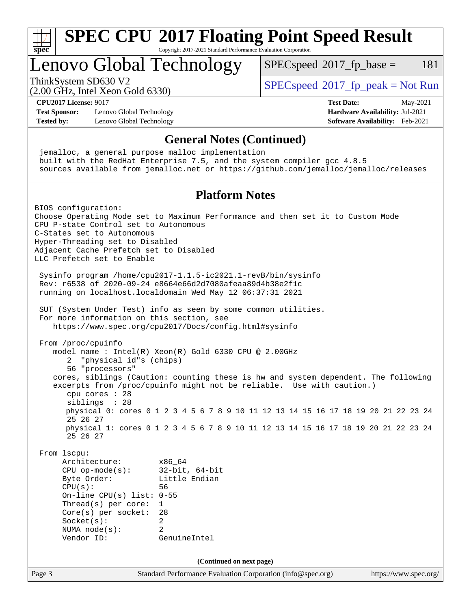

Copyright 2017-2021 Standard Performance Evaluation Corporation

### Lenovo Global Technology

 $SPECspeed^{\circ}2017\_fp\_base = 181$  $SPECspeed^{\circ}2017\_fp\_base = 181$ 

(2.00 GHz, Intel Xeon Gold 6330)

ThinkSystem SD630 V2<br>  $SPECspeed^{\circ}2017\_fp\_peak = Not Run$  $SPECspeed^{\circ}2017\_fp\_peak = Not Run$ 

**[CPU2017 License:](http://www.spec.org/auto/cpu2017/Docs/result-fields.html#CPU2017License)** 9017 **[Test Date:](http://www.spec.org/auto/cpu2017/Docs/result-fields.html#TestDate)** May-2021

**[Test Sponsor:](http://www.spec.org/auto/cpu2017/Docs/result-fields.html#TestSponsor)** Lenovo Global Technology **[Hardware Availability:](http://www.spec.org/auto/cpu2017/Docs/result-fields.html#HardwareAvailability)** Jul-2021 **[Tested by:](http://www.spec.org/auto/cpu2017/Docs/result-fields.html#Testedby)** Lenovo Global Technology **[Software Availability:](http://www.spec.org/auto/cpu2017/Docs/result-fields.html#SoftwareAvailability)** Feb-2021

**[General Notes \(Continued\)](http://www.spec.org/auto/cpu2017/Docs/result-fields.html#GeneralNotes)** jemalloc, a general purpose malloc implementation built with the RedHat Enterprise 7.5, and the system compiler gcc 4.8.5 sources available from jemalloc.net or <https://github.com/jemalloc/jemalloc/releases> **[Platform Notes](http://www.spec.org/auto/cpu2017/Docs/result-fields.html#PlatformNotes)** BIOS configuration: Choose Operating Mode set to Maximum Performance and then set it to Custom Mode CPU P-state Control set to Autonomous C-States set to Autonomous Hyper-Threading set to Disabled Adjacent Cache Prefetch set to Disabled LLC Prefetch set to Enable Sysinfo program /home/cpu2017-1.1.5-ic2021.1-revB/bin/sysinfo Rev: r6538 of 2020-09-24 e8664e66d2d7080afeaa89d4b38e2f1c running on localhost.localdomain Wed May 12 06:37:31 2021 SUT (System Under Test) info as seen by some common utilities. For more information on this section, see <https://www.spec.org/cpu2017/Docs/config.html#sysinfo> From /proc/cpuinfo model name : Intel(R) Xeon(R) Gold 6330 CPU @ 2.00GHz 2 "physical id"s (chips) 56 "processors" cores, siblings (Caution: counting these is hw and system dependent. The following excerpts from /proc/cpuinfo might not be reliable. Use with caution.) cpu cores : 28 siblings : 28 physical 0: cores 0 1 2 3 4 5 6 7 8 9 10 11 12 13 14 15 16 17 18 19 20 21 22 23 24 25 26 27 physical 1: cores 0 1 2 3 4 5 6 7 8 9 10 11 12 13 14 15 16 17 18 19 20 21 22 23 24 25 26 27 From lscpu: Architecture: x86\_64 CPU op-mode(s): 32-bit, 64-bit Byte Order: Little Endian CPU(s): 56 On-line CPU(s) list: 0-55 Thread(s) per core: 1 Core(s) per socket: 28 Socket(s): 2 NUMA node(s): 2 Vendor ID: GenuineIntel **(Continued on next page)**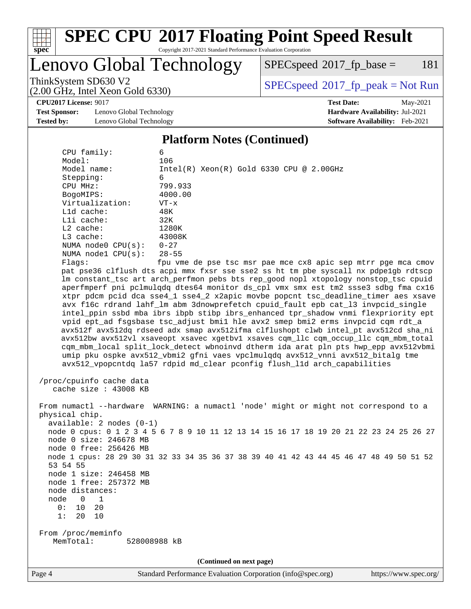

Copyright 2017-2021 Standard Performance Evaluation Corporation

Lenovo Global Technology

 $SPEC speed^{\circ}2017\_fp\_base = 181$ 

(2.00 GHz, Intel Xeon Gold 6330)

ThinkSystem SD630 V2<br>  $\begin{array}{c} \text{SPEC speed} \text{?}2017 \text{ fp\_peak} = \text{Not Run} \end{array}$ 

**[CPU2017 License:](http://www.spec.org/auto/cpu2017/Docs/result-fields.html#CPU2017License)** 9017 **[Test Date:](http://www.spec.org/auto/cpu2017/Docs/result-fields.html#TestDate)** May-2021

**[Test Sponsor:](http://www.spec.org/auto/cpu2017/Docs/result-fields.html#TestSponsor)** Lenovo Global Technology **[Hardware Availability:](http://www.spec.org/auto/cpu2017/Docs/result-fields.html#HardwareAvailability)** Jul-2021 **[Tested by:](http://www.spec.org/auto/cpu2017/Docs/result-fields.html#Testedby)** Lenovo Global Technology **[Software Availability:](http://www.spec.org/auto/cpu2017/Docs/result-fields.html#SoftwareAvailability)** Feb-2021

### **[Platform Notes \(Continued\)](http://www.spec.org/auto/cpu2017/Docs/result-fields.html#PlatformNotes)**

| CPU family:                                                      | 6                                          |  |  |  |
|------------------------------------------------------------------|--------------------------------------------|--|--|--|
| Model:                                                           | 106                                        |  |  |  |
| Model name:                                                      | $Intel(R) Xeon(R) Gold 6330 CPU @ 2.00GHz$ |  |  |  |
| Stepping:                                                        | 6                                          |  |  |  |
| CPU MHz:                                                         | 799.933                                    |  |  |  |
| BogoMIPS:                                                        | 4000.00                                    |  |  |  |
| Virtualization:                                                  | $VT - x$                                   |  |  |  |
| $L1d$ cache:                                                     | 48K                                        |  |  |  |
| $L1i$ cache:                                                     | 32K                                        |  |  |  |
| $L2$ cache:                                                      | 1280K                                      |  |  |  |
| $L3$ cache:                                                      | 43008K                                     |  |  |  |
| NUMA $node0$ $CPU(s)$ :                                          | $0 - 27$                                   |  |  |  |
| NUMA $node1$ $CPU(s):$                                           | $28 - 55$                                  |  |  |  |
| Flaqs:                                                           | fpu vme de pse tsc msr pae mce cx8 apic se |  |  |  |
| not pso36 alflugh dtg agni mmy fygr ggo ggo3 gg ht tm pho gyggal |                                            |  |  |  |

p mtrr pge mca cmov pat pse36 clflush dts acpi mmx fxsr sse sse2 ss ht tm pbe syscall nx pdpe1gb rdtscp lm constant\_tsc art arch\_perfmon pebs bts rep\_good nopl xtopology nonstop\_tsc cpuid aperfmperf pni pclmulqdq dtes64 monitor ds\_cpl vmx smx est tm2 ssse3 sdbg fma cx16 xtpr pdcm pcid dca sse4\_1 sse4\_2 x2apic movbe popcnt tsc\_deadline\_timer aes xsave avx f16c rdrand lahf\_lm abm 3dnowprefetch cpuid\_fault epb cat\_l3 invpcid\_single intel\_ppin ssbd mba ibrs ibpb stibp ibrs\_enhanced tpr\_shadow vnmi flexpriority ept vpid ept\_ad fsgsbase tsc\_adjust bmi1 hle avx2 smep bmi2 erms invpcid cqm rdt\_a avx512f avx512dq rdseed adx smap avx512ifma clflushopt clwb intel\_pt avx512cd sha\_ni avx512bw avx512vl xsaveopt xsavec xgetbv1 xsaves cqm\_llc cqm\_occup\_llc cqm\_mbm\_total cqm\_mbm\_local split\_lock\_detect wbnoinvd dtherm ida arat pln pts hwp\_epp avx512vbmi umip pku ospke avx512\_vbmi2 gfni vaes vpclmulqdq avx512\_vnni avx512\_bitalg tme avx512\_vpopcntdq la57 rdpid md\_clear pconfig flush\_l1d arch\_capabilities

 /proc/cpuinfo cache data cache size : 43008 KB

 From numactl --hardware WARNING: a numactl 'node' might or might not correspond to a physical chip. available: 2 nodes (0-1) node 0 cpus: 0 1 2 3 4 5 6 7 8 9 10 11 12 13 14 15 16 17 18 19 20 21 22 23 24 25 26 27 node 0 size: 246678 MB node 0 free: 256426 MB node 1 cpus: 28 29 30 31 32 33 34 35 36 37 38 39 40 41 42 43 44 45 46 47 48 49 50 51 52 53 54 55 node 1 size: 246458 MB node 1 free: 257372 MB node distances: node 0 1 0: 10 20 1: 20 10 From /proc/meminfo MemTotal: 528008988 kB

**(Continued on next page)**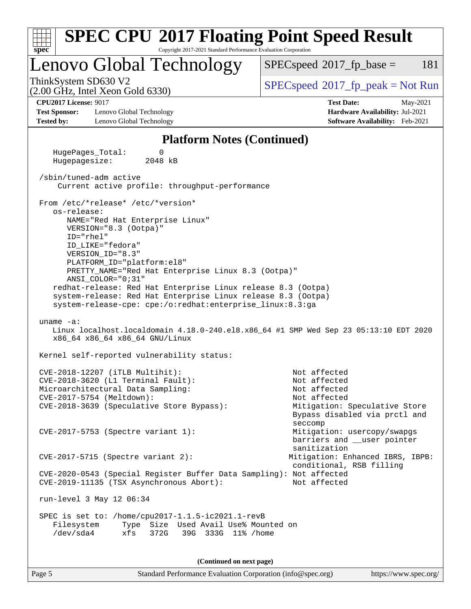| <b>SPEC CPU®2017 Floating Point Speed Result</b>                                                                                                                                                                                                                                                                                                                                                                                                                                                                                                                                                                                                                    |                                                                                                                                           |
|---------------------------------------------------------------------------------------------------------------------------------------------------------------------------------------------------------------------------------------------------------------------------------------------------------------------------------------------------------------------------------------------------------------------------------------------------------------------------------------------------------------------------------------------------------------------------------------------------------------------------------------------------------------------|-------------------------------------------------------------------------------------------------------------------------------------------|
| Copyright 2017-2021 Standard Performance Evaluation Corporation<br>$s\overline{p}\overline{e}\overline{c}$<br>Lenovo Global Technology                                                                                                                                                                                                                                                                                                                                                                                                                                                                                                                              | 181<br>$SPEC speed^{\circ}2017$ fp base =                                                                                                 |
| ThinkSystem SD630 V2<br>$(2.00 \text{ GHz}, \text{Intel Xeon Gold } 6330)$                                                                                                                                                                                                                                                                                                                                                                                                                                                                                                                                                                                          | $SPEC speed^{\circ}2017\_fp\_peak = Not Run$                                                                                              |
| <b>CPU2017 License: 9017</b><br><b>Test Sponsor:</b><br>Lenovo Global Technology<br>Lenovo Global Technology<br><b>Tested by:</b>                                                                                                                                                                                                                                                                                                                                                                                                                                                                                                                                   | <b>Test Date:</b><br>May-2021<br>Hardware Availability: Jul-2021<br>Software Availability: Feb-2021                                       |
| <b>Platform Notes (Continued)</b>                                                                                                                                                                                                                                                                                                                                                                                                                                                                                                                                                                                                                                   |                                                                                                                                           |
| HugePages_Total:<br>0<br>Hugepagesize:<br>2048 kB                                                                                                                                                                                                                                                                                                                                                                                                                                                                                                                                                                                                                   |                                                                                                                                           |
| /sbin/tuned-adm active<br>Current active profile: throughput-performance                                                                                                                                                                                                                                                                                                                                                                                                                                                                                                                                                                                            |                                                                                                                                           |
| From /etc/*release* /etc/*version*<br>os-release:<br>NAME="Red Hat Enterprise Linux"<br>VERSION="8.3 (Ootpa)"<br>$ID="rhe1"$<br>ID_LIKE="fedora"<br>VERSION_ID="8.3"<br>PLATFORM_ID="platform:el8"<br>PRETTY_NAME="Red Hat Enterprise Linux 8.3 (Ootpa)"<br>ANSI COLOR="0;31"<br>redhat-release: Red Hat Enterprise Linux release 8.3 (Ootpa)<br>system-release: Red Hat Enterprise Linux release 8.3 (Ootpa)<br>system-release-cpe: cpe:/o:redhat:enterprise_linux:8.3:ga<br>uname $-a$ :<br>Linux localhost.localdomain 4.18.0-240.el8.x86_64 #1 SMP Wed Sep 23 05:13:10 EDT 2020<br>x86_64 x86_64 x86_64 GNU/Linux<br>Kernel self-reported vulnerability status: |                                                                                                                                           |
| CVE-2018-12207 (iTLB Multihit):<br>CVE-2018-3620 (L1 Terminal Fault):<br>Microarchitectural Data Sampling:<br>CVE-2017-5754 (Meltdown):<br>CVE-2018-3639 (Speculative Store Bypass):                                                                                                                                                                                                                                                                                                                                                                                                                                                                                | Not affected<br>Not affected<br>Not affected<br>Not affected<br>Mitigation: Speculative Store<br>Bypass disabled via prctl and<br>seccomp |
| CVE-2017-5753 (Spectre variant 1):                                                                                                                                                                                                                                                                                                                                                                                                                                                                                                                                                                                                                                  | Mitigation: usercopy/swapgs<br>barriers and user pointer<br>sanitization                                                                  |
| $CVE-2017-5715$ (Spectre variant 2):                                                                                                                                                                                                                                                                                                                                                                                                                                                                                                                                                                                                                                | Mitigation: Enhanced IBRS, IBPB:<br>conditional, RSB filling                                                                              |
| CVE-2020-0543 (Special Register Buffer Data Sampling): Not affected<br>CVE-2019-11135 (TSX Asynchronous Abort):                                                                                                                                                                                                                                                                                                                                                                                                                                                                                                                                                     | Not affected                                                                                                                              |
| run-level 3 May 12 06:34                                                                                                                                                                                                                                                                                                                                                                                                                                                                                                                                                                                                                                            |                                                                                                                                           |
| SPEC is set to: /home/cpu2017-1.1.5-ic2021.1-revB<br>Type Size Used Avail Use% Mounted on<br>Filesystem<br>/dev/sda4<br>372G<br>39G 333G 11% / home<br>xfs                                                                                                                                                                                                                                                                                                                                                                                                                                                                                                          |                                                                                                                                           |
| (Continued on next page)                                                                                                                                                                                                                                                                                                                                                                                                                                                                                                                                                                                                                                            |                                                                                                                                           |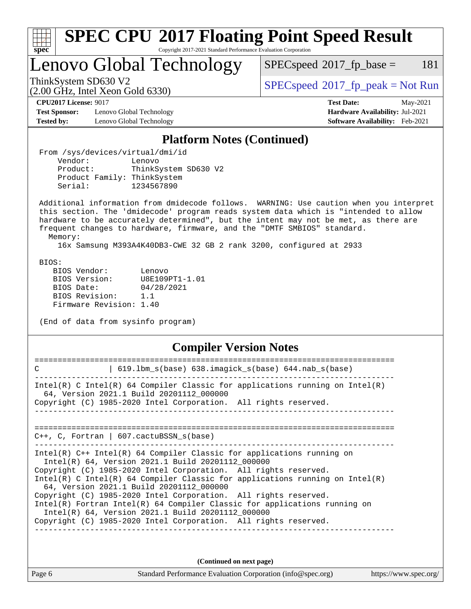| ÷.<br>O | t | ų |  |
|---------|---|---|--|

Copyright 2017-2021 Standard Performance Evaluation Corporation

Lenovo Global Technology

 $SPECspeed^{\circledcirc}2017_fp\_base = 181$  $SPECspeed^{\circledcirc}2017_fp\_base = 181$ 

(2.00 GHz, Intel Xeon Gold 6330)

ThinkSystem SD630 V2<br>  $\begin{array}{c} \text{SPEC speed} \text{?}2017 \text{ fp\_peak} = \text{Not Run} \end{array}$ 

**[Test Sponsor:](http://www.spec.org/auto/cpu2017/Docs/result-fields.html#TestSponsor)** Lenovo Global Technology **[Hardware Availability:](http://www.spec.org/auto/cpu2017/Docs/result-fields.html#HardwareAvailability)** Jul-2021 **[Tested by:](http://www.spec.org/auto/cpu2017/Docs/result-fields.html#Testedby)** Lenovo Global Technology **[Software Availability:](http://www.spec.org/auto/cpu2017/Docs/result-fields.html#SoftwareAvailability)** Feb-2021

**[CPU2017 License:](http://www.spec.org/auto/cpu2017/Docs/result-fields.html#CPU2017License)** 9017 **[Test Date:](http://www.spec.org/auto/cpu2017/Docs/result-fields.html#TestDate)** May-2021

#### **[Platform Notes \(Continued\)](http://www.spec.org/auto/cpu2017/Docs/result-fields.html#PlatformNotes)**

 From /sys/devices/virtual/dmi/id Vendor: Lenovo Product: ThinkSystem SD630 V2 Product Family: ThinkSystem Serial: 1234567890

 Additional information from dmidecode follows. WARNING: Use caution when you interpret this section. The 'dmidecode' program reads system data which is "intended to allow hardware to be accurately determined", but the intent may not be met, as there are frequent changes to hardware, firmware, and the "DMTF SMBIOS" standard.

Memory:

16x Samsung M393A4K40DB3-CWE 32 GB 2 rank 3200, configured at 2933

BIOS:

 BIOS Vendor: Lenovo BIOS Version: U8E109PT1-1.01 BIOS Date: 04/28/2021 BIOS Revision: 1.1 Firmware Revision: 1.40

(End of data from sysinfo program)

#### **[Compiler Version Notes](http://www.spec.org/auto/cpu2017/Docs/result-fields.html#CompilerVersionNotes)**

| $619.1$ bm_s(base) $638.imagick_s(base)$ $644.nab_s(base)$<br>C                                                                                                                                                                                                                                                                                                                                                                                                                                                                                                                                       |
|-------------------------------------------------------------------------------------------------------------------------------------------------------------------------------------------------------------------------------------------------------------------------------------------------------------------------------------------------------------------------------------------------------------------------------------------------------------------------------------------------------------------------------------------------------------------------------------------------------|
| Intel(R) C Intel(R) 64 Compiler Classic for applications running on Intel(R)<br>64, Version 2021.1 Build 20201112_000000<br>Copyright (C) 1985-2020 Intel Corporation. All rights reserved.                                                                                                                                                                                                                                                                                                                                                                                                           |
| $C_{++}$ , C, Fortran   607. cactuBSSN s(base)                                                                                                                                                                                                                                                                                                                                                                                                                                                                                                                                                        |
| $Intel(R)$ C++ Intel(R) 64 Compiler Classic for applications running on<br>Intel(R) 64, Version 2021.1 Build 20201112 000000<br>Copyright (C) 1985-2020 Intel Corporation. All rights reserved.<br>Intel(R) C Intel(R) 64 Compiler Classic for applications running on Intel(R)<br>64, Version 2021.1 Build 20201112_000000<br>Copyright (C) 1985-2020 Intel Corporation. All rights reserved.<br>$Intel(R)$ Fortran Intel(R) 64 Compiler Classic for applications running on<br>Intel(R) 64, Version 2021.1 Build 20201112 000000<br>Copyright (C) 1985-2020 Intel Corporation. All rights reserved. |
| (Continued on next page)                                                                                                                                                                                                                                                                                                                                                                                                                                                                                                                                                                              |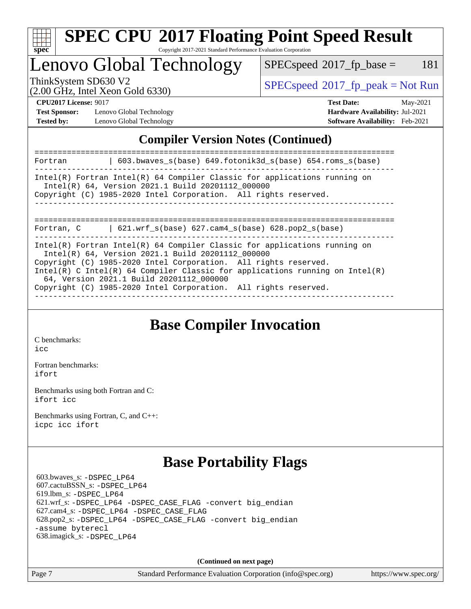

Copyright 2017-2021 Standard Performance Evaluation Corporation

Lenovo Global Technology

 $SPECspeed^{\circledcirc}2017_fp\_base = 181$  $SPECspeed^{\circledcirc}2017_fp\_base = 181$ 

(2.00 GHz, Intel Xeon Gold 6330)

ThinkSystem SD630 V2<br>  $\begin{array}{c} \text{SPEC speed} \text{?}2017 \text{ fp\_peak} = \text{Not Run} \end{array}$ 

**[Test Sponsor:](http://www.spec.org/auto/cpu2017/Docs/result-fields.html#TestSponsor)** Lenovo Global Technology **[Hardware Availability:](http://www.spec.org/auto/cpu2017/Docs/result-fields.html#HardwareAvailability)** Jul-2021 **[Tested by:](http://www.spec.org/auto/cpu2017/Docs/result-fields.html#Testedby)** Lenovo Global Technology **[Software Availability:](http://www.spec.org/auto/cpu2017/Docs/result-fields.html#SoftwareAvailability)** Feb-2021

**[CPU2017 License:](http://www.spec.org/auto/cpu2017/Docs/result-fields.html#CPU2017License)** 9017 **[Test Date:](http://www.spec.org/auto/cpu2017/Docs/result-fields.html#TestDate)** May-2021

#### **[Compiler Version Notes \(Continued\)](http://www.spec.org/auto/cpu2017/Docs/result-fields.html#CompilerVersionNotes)**

| 603.bwaves_s(base) 649.fotonik3d_s(base) 654.roms_s(base)<br>Fortran                                                                                                                                                                                                                                                                                                                               |
|----------------------------------------------------------------------------------------------------------------------------------------------------------------------------------------------------------------------------------------------------------------------------------------------------------------------------------------------------------------------------------------------------|
| $Intel(R)$ Fortran Intel(R) 64 Compiler Classic for applications running on<br>Intel(R) 64, Version 2021.1 Build 20201112 000000<br>Copyright (C) 1985-2020 Intel Corporation. All rights reserved.                                                                                                                                                                                                |
| $621.wrf_s(base)$ $627.cam4_s(base)$ $628.pop2_s(base)$<br>Fortran, C                                                                                                                                                                                                                                                                                                                              |
| $Intel(R)$ Fortran Intel(R) 64 Compiler Classic for applications running on<br>Intel(R) 64, Version 2021.1 Build 20201112 000000<br>Copyright (C) 1985-2020 Intel Corporation. All rights reserved.<br>Intel(R) C Intel(R) 64 Compiler Classic for applications running on Intel(R)<br>64, Version 2021.1 Build 20201112 000000<br>Copyright (C) 1985-2020 Intel Corporation. All rights reserved. |

**[Base Compiler Invocation](http://www.spec.org/auto/cpu2017/Docs/result-fields.html#BaseCompilerInvocation)**

[C benchmarks](http://www.spec.org/auto/cpu2017/Docs/result-fields.html#Cbenchmarks): [icc](http://www.spec.org/cpu2017/results/res2021q2/cpu2017-20210524-26572.flags.html#user_CCbase_intel_icc_66fc1ee009f7361af1fbd72ca7dcefbb700085f36577c54f309893dd4ec40d12360134090235512931783d35fd58c0460139e722d5067c5574d8eaf2b3e37e92)

[Fortran benchmarks](http://www.spec.org/auto/cpu2017/Docs/result-fields.html#Fortranbenchmarks): [ifort](http://www.spec.org/cpu2017/results/res2021q2/cpu2017-20210524-26572.flags.html#user_FCbase_intel_ifort_8111460550e3ca792625aed983ce982f94888b8b503583aa7ba2b8303487b4d8a21a13e7191a45c5fd58ff318f48f9492884d4413fa793fd88dd292cad7027ca)

[Benchmarks using both Fortran and C](http://www.spec.org/auto/cpu2017/Docs/result-fields.html#BenchmarksusingbothFortranandC): [ifort](http://www.spec.org/cpu2017/results/res2021q2/cpu2017-20210524-26572.flags.html#user_CC_FCbase_intel_ifort_8111460550e3ca792625aed983ce982f94888b8b503583aa7ba2b8303487b4d8a21a13e7191a45c5fd58ff318f48f9492884d4413fa793fd88dd292cad7027ca) [icc](http://www.spec.org/cpu2017/results/res2021q2/cpu2017-20210524-26572.flags.html#user_CC_FCbase_intel_icc_66fc1ee009f7361af1fbd72ca7dcefbb700085f36577c54f309893dd4ec40d12360134090235512931783d35fd58c0460139e722d5067c5574d8eaf2b3e37e92)

[Benchmarks using Fortran, C, and C++:](http://www.spec.org/auto/cpu2017/Docs/result-fields.html#BenchmarksusingFortranCandCXX) [icpc](http://www.spec.org/cpu2017/results/res2021q2/cpu2017-20210524-26572.flags.html#user_CC_CXX_FCbase_intel_icpc_c510b6838c7f56d33e37e94d029a35b4a7bccf4766a728ee175e80a419847e808290a9b78be685c44ab727ea267ec2f070ec5dc83b407c0218cded6866a35d07) [icc](http://www.spec.org/cpu2017/results/res2021q2/cpu2017-20210524-26572.flags.html#user_CC_CXX_FCbase_intel_icc_66fc1ee009f7361af1fbd72ca7dcefbb700085f36577c54f309893dd4ec40d12360134090235512931783d35fd58c0460139e722d5067c5574d8eaf2b3e37e92) [ifort](http://www.spec.org/cpu2017/results/res2021q2/cpu2017-20210524-26572.flags.html#user_CC_CXX_FCbase_intel_ifort_8111460550e3ca792625aed983ce982f94888b8b503583aa7ba2b8303487b4d8a21a13e7191a45c5fd58ff318f48f9492884d4413fa793fd88dd292cad7027ca)

### **[Base Portability Flags](http://www.spec.org/auto/cpu2017/Docs/result-fields.html#BasePortabilityFlags)**

 603.bwaves\_s: [-DSPEC\\_LP64](http://www.spec.org/cpu2017/results/res2021q2/cpu2017-20210524-26572.flags.html#suite_basePORTABILITY603_bwaves_s_DSPEC_LP64) 607.cactuBSSN\_s: [-DSPEC\\_LP64](http://www.spec.org/cpu2017/results/res2021q2/cpu2017-20210524-26572.flags.html#suite_basePORTABILITY607_cactuBSSN_s_DSPEC_LP64) 619.lbm\_s: [-DSPEC\\_LP64](http://www.spec.org/cpu2017/results/res2021q2/cpu2017-20210524-26572.flags.html#suite_basePORTABILITY619_lbm_s_DSPEC_LP64) 621.wrf\_s: [-DSPEC\\_LP64](http://www.spec.org/cpu2017/results/res2021q2/cpu2017-20210524-26572.flags.html#suite_basePORTABILITY621_wrf_s_DSPEC_LP64) [-DSPEC\\_CASE\\_FLAG](http://www.spec.org/cpu2017/results/res2021q2/cpu2017-20210524-26572.flags.html#b621.wrf_s_baseCPORTABILITY_DSPEC_CASE_FLAG) [-convert big\\_endian](http://www.spec.org/cpu2017/results/res2021q2/cpu2017-20210524-26572.flags.html#user_baseFPORTABILITY621_wrf_s_convert_big_endian_c3194028bc08c63ac5d04de18c48ce6d347e4e562e8892b8bdbdc0214820426deb8554edfa529a3fb25a586e65a3d812c835984020483e7e73212c4d31a38223) 627.cam4\_s: [-DSPEC\\_LP64](http://www.spec.org/cpu2017/results/res2021q2/cpu2017-20210524-26572.flags.html#suite_basePORTABILITY627_cam4_s_DSPEC_LP64) [-DSPEC\\_CASE\\_FLAG](http://www.spec.org/cpu2017/results/res2021q2/cpu2017-20210524-26572.flags.html#b627.cam4_s_baseCPORTABILITY_DSPEC_CASE_FLAG) 628.pop2\_s: [-DSPEC\\_LP64](http://www.spec.org/cpu2017/results/res2021q2/cpu2017-20210524-26572.flags.html#suite_basePORTABILITY628_pop2_s_DSPEC_LP64) [-DSPEC\\_CASE\\_FLAG](http://www.spec.org/cpu2017/results/res2021q2/cpu2017-20210524-26572.flags.html#b628.pop2_s_baseCPORTABILITY_DSPEC_CASE_FLAG) [-convert big\\_endian](http://www.spec.org/cpu2017/results/res2021q2/cpu2017-20210524-26572.flags.html#user_baseFPORTABILITY628_pop2_s_convert_big_endian_c3194028bc08c63ac5d04de18c48ce6d347e4e562e8892b8bdbdc0214820426deb8554edfa529a3fb25a586e65a3d812c835984020483e7e73212c4d31a38223) [-assume byterecl](http://www.spec.org/cpu2017/results/res2021q2/cpu2017-20210524-26572.flags.html#user_baseFPORTABILITY628_pop2_s_assume_byterecl_7e47d18b9513cf18525430bbf0f2177aa9bf368bc7a059c09b2c06a34b53bd3447c950d3f8d6c70e3faf3a05c8557d66a5798b567902e8849adc142926523472) 638.imagick\_s: [-DSPEC\\_LP64](http://www.spec.org/cpu2017/results/res2021q2/cpu2017-20210524-26572.flags.html#suite_basePORTABILITY638_imagick_s_DSPEC_LP64)

**(Continued on next page)**

Page 7 Standard Performance Evaluation Corporation [\(info@spec.org\)](mailto:info@spec.org) <https://www.spec.org/>